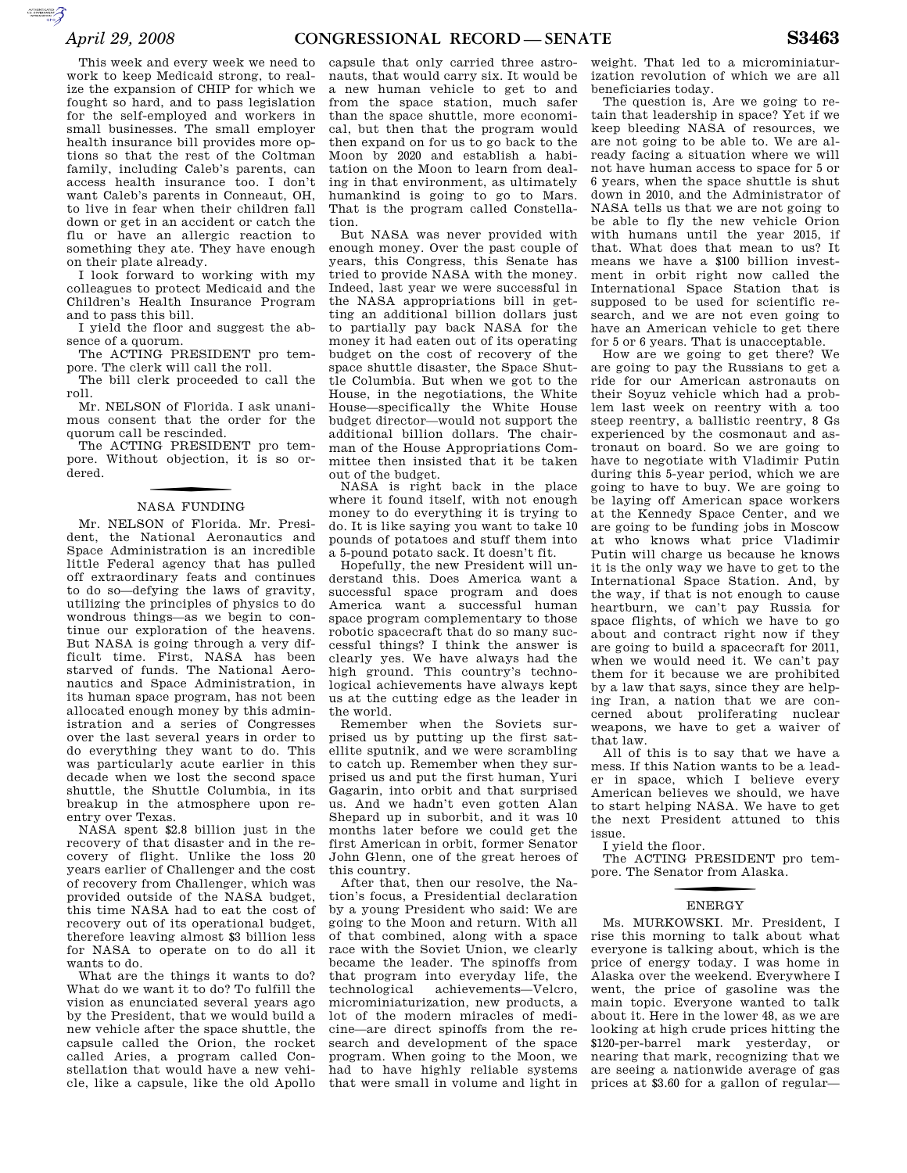AUTORITICATED

This week and every week we need to work to keep Medicaid strong, to realize the expansion of CHIP for which we fought so hard, and to pass legislation for the self-employed and workers in small businesses. The small employer health insurance bill provides more options so that the rest of the Coltman family, including Caleb's parents, can access health insurance too. I don't want Caleb's parents in Conneaut, OH, to live in fear when their children fall down or get in an accident or catch the flu or have an allergic reaction to something they ate. They have enough on their plate already.

I look forward to working with my colleagues to protect Medicaid and the Children's Health Insurance Program and to pass this bill.

I yield the floor and suggest the absence of a quorum.

The ACTING PRESIDENT pro tempore. The clerk will call the roll.

The bill clerk proceeded to call the roll.

Mr. NELSON of Florida. I ask unanimous consent that the order for the quorum call be rescinded.

The ACTING PRESIDENT pro tempore. Without objection, it is so ordered.

## f NASA FUNDING

Mr. NELSON of Florida. Mr. President, the National Aeronautics and Space Administration is an incredible little Federal agency that has pulled off extraordinary feats and continues to do so—defying the laws of gravity, utilizing the principles of physics to do wondrous things—as we begin to continue our exploration of the heavens. But NASA is going through a very difficult time. First, NASA has been starved of funds. The National Aeronautics and Space Administration, in its human space program, has not been allocated enough money by this administration and a series of Congresses over the last several years in order to do everything they want to do. This was particularly acute earlier in this decade when we lost the second space shuttle, the Shuttle Columbia, in its breakup in the atmosphere upon reentry over Texas.

NASA spent \$2.8 billion just in the recovery of that disaster and in the recovery of flight. Unlike the loss 20 years earlier of Challenger and the cost of recovery from Challenger, which was provided outside of the NASA budget, this time NASA had to eat the cost of recovery out of its operational budget, therefore leaving almost \$3 billion less for NASA to operate on to do all it wants to do.

What are the things it wants to do? What do we want it to do? To fulfill the vision as enunciated several years ago by the President, that we would build a new vehicle after the space shuttle, the capsule called the Orion, the rocket called Aries, a program called Constellation that would have a new vehicle, like a capsule, like the old Apollo

capsule that only carried three astronauts, that would carry six. It would be a new human vehicle to get to and from the space station, much safer than the space shuttle, more economical, but then that the program would then expand on for us to go back to the Moon by 2020 and establish a habitation on the Moon to learn from dealing in that environment, as ultimately humankind is going to go to Mars. That is the program called Constellation.

But NASA was never provided with enough money. Over the past couple of years, this Congress, this Senate has tried to provide NASA with the money. Indeed, last year we were successful in the NASA appropriations bill in getting an additional billion dollars just to partially pay back NASA for the money it had eaten out of its operating budget on the cost of recovery of the space shuttle disaster, the Space Shuttle Columbia. But when we got to the House, in the negotiations, the White House—specifically the White House budget director—would not support the additional billion dollars. The chairman of the House Appropriations Committee then insisted that it be taken out of the budget.

NASA is right back in the place where it found itself, with not enough money to do everything it is trying to do. It is like saying you want to take 10 pounds of potatoes and stuff them into a 5-pound potato sack. It doesn't fit.

Hopefully, the new President will understand this. Does America want a successful space program and does America want a successful human space program complementary to those robotic spacecraft that do so many successful things? I think the answer is clearly yes. We have always had the high ground. This country's technological achievements have always kept us at the cutting edge as the leader in the world.

Remember when the Soviets surprised us by putting up the first satellite sputnik, and we were scrambling to catch up. Remember when they surprised us and put the first human, Yuri Gagarin, into orbit and that surprised us. And we hadn't even gotten Alan Shepard up in suborbit, and it was 10 months later before we could get the first American in orbit, former Senator John Glenn, one of the great heroes of this country.

After that, then our resolve, the Nation's focus, a Presidential declaration by a young President who said: We are going to the Moon and return. With all of that combined, along with a space race with the Soviet Union, we clearly became the leader. The spinoffs from that program into everyday life, the technological achievements—Velcro, microminiaturization, new products, a lot of the modern miracles of medicine—are direct spinoffs from the research and development of the space program. When going to the Moon, we had to have highly reliable systems that were small in volume and light in

weight. That led to a microminiaturization revolution of which we are all beneficiaries today.

The question is, Are we going to retain that leadership in space? Yet if we keep bleeding NASA of resources, we are not going to be able to. We are already facing a situation where we will not have human access to space for 5 or 6 years, when the space shuttle is shut down in 2010, and the Administrator of NASA tells us that we are not going to be able to fly the new vehicle Orion with humans until the year 2015, if that. What does that mean to us? It means we have a \$100 billion investment in orbit right now called the International Space Station that is supposed to be used for scientific research, and we are not even going to have an American vehicle to get there for 5 or 6 years. That is unacceptable.

How are we going to get there? We are going to pay the Russians to get a ride for our American astronauts on their Soyuz vehicle which had a problem last week on reentry with a too steep reentry, a ballistic reentry, 8 Gs experienced by the cosmonaut and astronaut on board. So we are going to have to negotiate with Vladimir Putin during this 5-year period, which we are going to have to buy. We are going to be laying off American space workers at the Kennedy Space Center, and we are going to be funding jobs in Moscow at who knows what price Vladimir Putin will charge us because he knows it is the only way we have to get to the International Space Station. And, by the way, if that is not enough to cause heartburn, we can't pay Russia for space flights, of which we have to go about and contract right now if they are going to build a spacecraft for 2011, when we would need it. We can't pay them for it because we are prohibited by a law that says, since they are helping Iran, a nation that we are concerned about proliferating nuclear weapons, we have to get a waiver of that law.

All of this is to say that we have a mess. If this Nation wants to be a leader in space, which I believe every American believes we should, we have to start helping NASA. We have to get the next President attuned to this issue.

I yield the floor.

The ACTING PRESIDENT pro tempore. The Senator from Alaska.

## **ENERGY**

Ms. MURKOWSKI. Mr. President, I rise this morning to talk about what everyone is talking about, which is the price of energy today. I was home in Alaska over the weekend. Everywhere I went, the price of gasoline was the main topic. Everyone wanted to talk about it. Here in the lower 48, as we are looking at high crude prices hitting the \$120-per-barrel mark yesterday, or nearing that mark, recognizing that we are seeing a nationwide average of gas prices at \$3.60 for a gallon of regular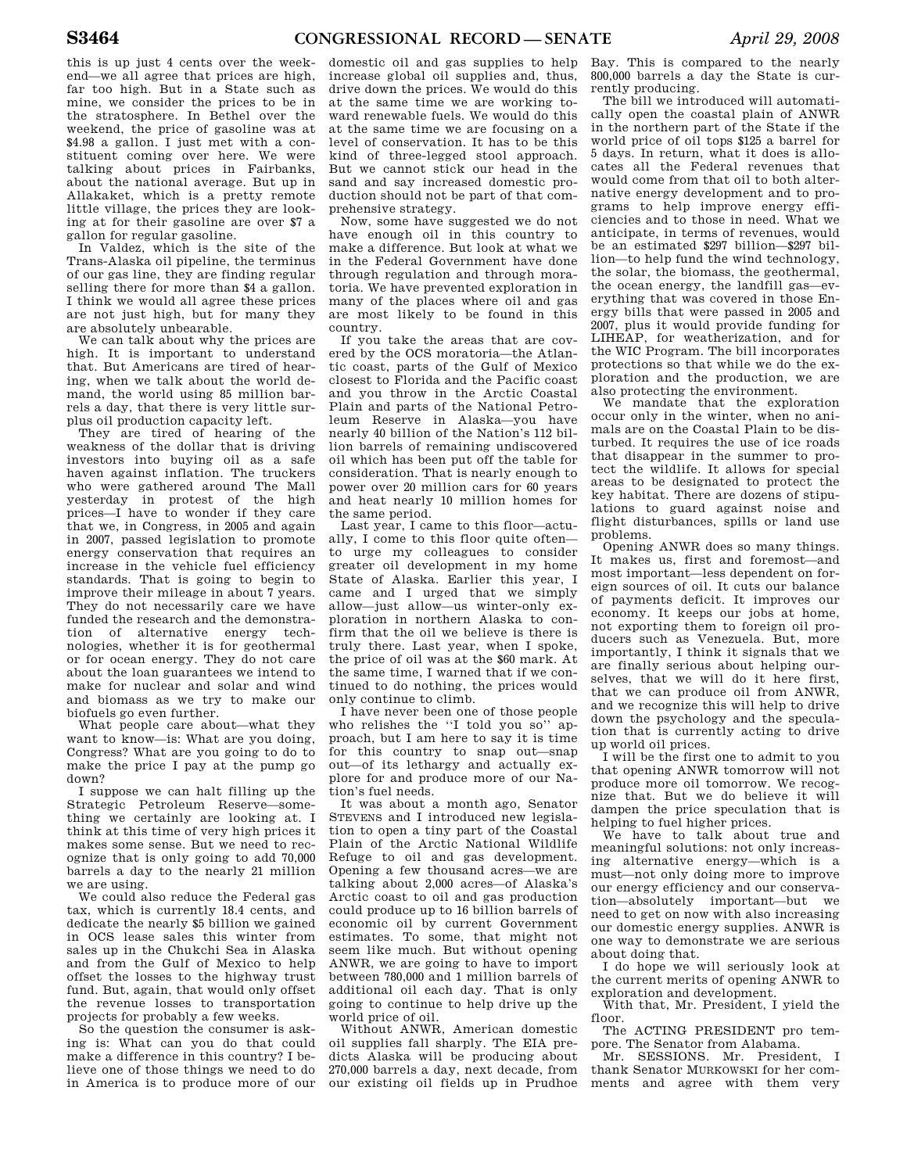this is up just 4 cents over the weekend—we all agree that prices are high, far too high. But in a State such as mine, we consider the prices to be in the stratosphere. In Bethel over the weekend, the price of gasoline was at \$4.98 a gallon. I just met with a constituent coming over here. We were talking about prices in Fairbanks, about the national average. But up in Allakaket, which is a pretty remote little village, the prices they are looking at for their gasoline are over \$7 a gallon for regular gasoline.

In Valdez, which is the site of the Trans-Alaska oil pipeline, the terminus of our gas line, they are finding regular selling there for more than \$4 a gallon. I think we would all agree these prices are not just high, but for many they are absolutely unbearable.

We can talk about why the prices are high. It is important to understand that. But Americans are tired of hearing, when we talk about the world demand, the world using 85 million barrels a day, that there is very little surplus oil production capacity left.

They are tired of hearing of the weakness of the dollar that is driving investors into buying oil as a safe haven against inflation. The truckers who were gathered around The Mall yesterday in protest of the high prices—I have to wonder if they care that we, in Congress, in 2005 and again in 2007, passed legislation to promote energy conservation that requires an increase in the vehicle fuel efficiency standards. That is going to begin to improve their mileage in about 7 years. They do not necessarily care we have funded the research and the demonstration of alternative energy technologies, whether it is for geothermal or for ocean energy. They do not care about the loan guarantees we intend to make for nuclear and solar and wind and biomass as we try to make our biofuels go even further.

What people care about—what they want to know—is: What are you doing, Congress? What are you going to do to make the price I pay at the pump go down?

I suppose we can halt filling up the Strategic Petroleum Reserve—something we certainly are looking at. I think at this time of very high prices it makes some sense. But we need to recognize that is only going to add 70,000 barrels a day to the nearly 21 million we are using.

We could also reduce the Federal gas tax, which is currently 18.4 cents, and dedicate the nearly \$5 billion we gained in OCS lease sales this winter from sales up in the Chukchi Sea in Alaska and from the Gulf of Mexico to help offset the losses to the highway trust fund. But, again, that would only offset the revenue losses to transportation projects for probably a few weeks.

So the question the consumer is asking is: What can you do that could make a difference in this country? I believe one of those things we need to do in America is to produce more of our

domestic oil and gas supplies to help increase global oil supplies and, thus, drive down the prices. We would do this at the same time we are working toward renewable fuels. We would do this at the same time we are focusing on a level of conservation. It has to be this kind of three-legged stool approach. But we cannot stick our head in the sand and say increased domestic production should not be part of that comprehensive strategy.

Now, some have suggested we do not have enough oil in this country to make a difference. But look at what we in the Federal Government have done through regulation and through moratoria. We have prevented exploration in many of the places where oil and gas are most likely to be found in this country.

If you take the areas that are covered by the OCS moratoria—the Atlantic coast, parts of the Gulf of Mexico closest to Florida and the Pacific coast and you throw in the Arctic Coastal Plain and parts of the National Petroleum Reserve in Alaska—you have nearly 40 billion of the Nation's 112 billion barrels of remaining undiscovered oil which has been put off the table for consideration. That is nearly enough to power over 20 million cars for 60 years and heat nearly 10 million homes for the same period.

Last year, I came to this floor—actually, I come to this floor quite often to urge my colleagues to consider greater oil development in my home State of Alaska. Earlier this year, I came and I urged that we simply allow—just allow—us winter-only exploration in northern Alaska to confirm that the oil we believe is there is truly there. Last year, when I spoke, the price of oil was at the \$60 mark. At the same time, I warned that if we continued to do nothing, the prices would only continue to climb.

I have never been one of those people who relishes the "I told you so" approach, but I am here to say it is time for this country to snap out—snap out—of its lethargy and actually explore for and produce more of our Nation's fuel needs.

It was about a month ago, Senator STEVENS and I introduced new legislation to open a tiny part of the Coastal Plain of the Arctic National Wildlife Refuge to oil and gas development. Opening a few thousand acres—we are talking about 2,000 acres—of Alaska's Arctic coast to oil and gas production could produce up to 16 billion barrels of economic oil by current Government estimates. To some, that might not seem like much. But without opening ANWR, we are going to have to import between 780,000 and 1 million barrels of additional oil each day. That is only going to continue to help drive up the world price of oil.

Without ANWR, American domestic oil supplies fall sharply. The EIA predicts Alaska will be producing about 270,000 barrels a day, next decade, from our existing oil fields up in Prudhoe

Bay. This is compared to the nearly 800,000 barrels a day the State is currently producing.

The bill we introduced will automatically open the coastal plain of ANWR in the northern part of the State if the world price of oil tops \$125 a barrel for 5 days. In return, what it does is allocates all the Federal revenues that would come from that oil to both alternative energy development and to programs to help improve energy efficiencies and to those in need. What we anticipate, in terms of revenues, would be an estimated \$297 billion—\$297 billion—to help fund the wind technology, the solar, the biomass, the geothermal, the ocean energy, the landfill gas—everything that was covered in those Energy bills that were passed in 2005 and 2007, plus it would provide funding for LIHEAP, for weatherization, and for the WIC Program. The bill incorporates protections so that while we do the exploration and the production, we are also protecting the environment.

We mandate that the exploration occur only in the winter, when no animals are on the Coastal Plain to be disturbed. It requires the use of ice roads that disappear in the summer to protect the wildlife. It allows for special areas to be designated to protect the key habitat. There are dozens of stipulations to guard against noise and flight disturbances, spills or land use problems.

Opening ANWR does so many things. It makes us, first and foremost—and most important—less dependent on foreign sources of oil. It cuts our balance of payments deficit. It improves our economy. It keeps our jobs at home, not exporting them to foreign oil producers such as Venezuela. But, more importantly, I think it signals that we are finally serious about helping ourselves, that we will do it here first, that we can produce oil from ANWR, and we recognize this will help to drive down the psychology and the speculation that is currently acting to drive up world oil prices.

I will be the first one to admit to you that opening ANWR tomorrow will not produce more oil tomorrow. We recognize that. But we do believe it will dampen the price speculation that is helping to fuel higher prices.

We have to talk about true and meaningful solutions: not only increasing alternative energy—which is a must—not only doing more to improve our energy efficiency and our conservation—absolutely important—but we need to get on now with also increasing our domestic energy supplies. ANWR is one way to demonstrate we are serious about doing that.

I do hope we will seriously look at the current merits of opening ANWR to exploration and development.

With that, Mr. President, I yield the floor.

The ACTING PRESIDENT pro tempore. The Senator from Alabama.

Mr. SESSIONS. Mr. President, I thank Senator MURKOWSKI for her comments and agree with them very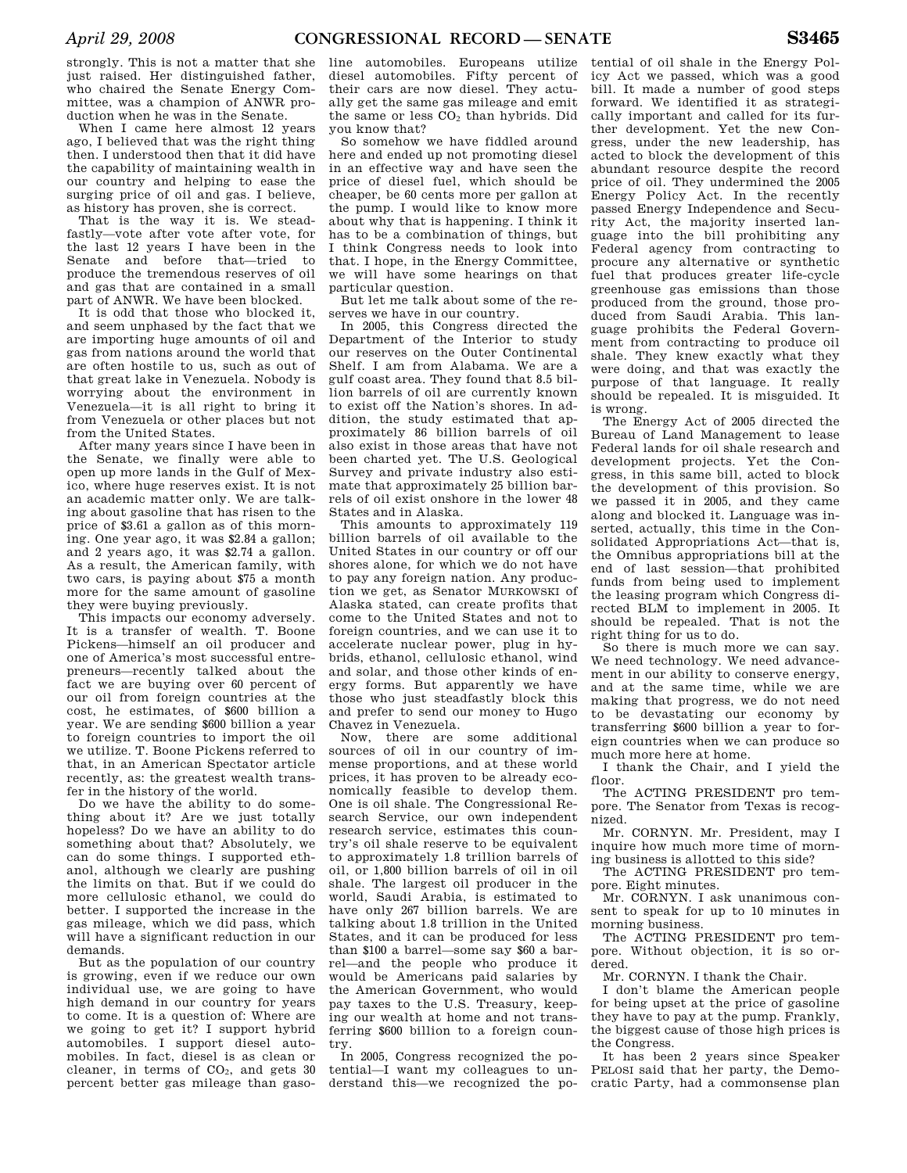strongly. This is not a matter that she just raised. Her distinguished father, who chaired the Senate Energy Committee, was a champion of ANWR production when he was in the Senate.

When I came here almost 12 years ago, I believed that was the right thing then. I understood then that it did have the capability of maintaining wealth in our country and helping to ease the surging price of oil and gas. I believe, as history has proven, she is correct.

That is the way it is. We steadfastly—vote after vote after vote, for the last 12 years I have been in the Senate and before that—tried to produce the tremendous reserves of oil and gas that are contained in a small part of ANWR. We have been blocked.

It is odd that those who blocked it, and seem unphased by the fact that we are importing huge amounts of oil and gas from nations around the world that are often hostile to us, such as out of that great lake in Venezuela. Nobody is worrying about the environment in Venezuela—it is all right to bring it from Venezuela or other places but not from the United States.

After many years since I have been in the Senate, we finally were able to open up more lands in the Gulf of Mexico, where huge reserves exist. It is not an academic matter only. We are talking about gasoline that has risen to the price of \$3.61 a gallon as of this morning. One year ago, it was \$2.84 a gallon; and 2 years ago, it was \$2.74 a gallon. As a result, the American family, with two cars, is paying about \$75 a month more for the same amount of gasoline they were buying previously.

This impacts our economy adversely. It is a transfer of wealth. T. Boone Pickens—himself an oil producer and one of America's most successful entrepreneurs—recently talked about the fact we are buying over 60 percent of our oil from foreign countries at the cost, he estimates, of \$600 billion a year. We are sending \$600 billion a year to foreign countries to import the oil we utilize. T. Boone Pickens referred to that, in an American Spectator article recently, as: the greatest wealth transfer in the history of the world.

Do we have the ability to do something about it? Are we just totally hopeless? Do we have an ability to do something about that? Absolutely, we can do some things. I supported ethanol, although we clearly are pushing the limits on that. But if we could do more cellulosic ethanol, we could do better. I supported the increase in the gas mileage, which we did pass, which will have a significant reduction in our demands.

But as the population of our country is growing, even if we reduce our own individual use, we are going to have high demand in our country for years to come. It is a question of: Where are we going to get it? I support hybrid automobiles. I support diesel automobiles. In fact, diesel is as clean or cleaner, in terms of  $CO<sub>2</sub>$ , and gets 30 percent better gas mileage than gaso-

line automobiles. Europeans utilize diesel automobiles. Fifty percent of their cars are now diesel. They actually get the same gas mileage and emit the same or less  $CO<sub>2</sub>$  than hybrids. Did you know that?

So somehow we have fiddled around here and ended up not promoting diesel in an effective way and have seen the price of diesel fuel, which should be cheaper, be 60 cents more per gallon at the pump. I would like to know more about why that is happening. I think it has to be a combination of things, but I think Congress needs to look into that. I hope, in the Energy Committee, we will have some hearings on that particular question.

But let me talk about some of the reserves we have in our country.

In 2005, this Congress directed the Department of the Interior to study our reserves on the Outer Continental Shelf. I am from Alabama. We are a gulf coast area. They found that 8.5 billion barrels of oil are currently known to exist off the Nation's shores. In addition, the study estimated that approximately 86 billion barrels of oil also exist in those areas that have not been charted yet. The U.S. Geological Survey and private industry also estimate that approximately 25 billion barrels of oil exist onshore in the lower 48 States and in Alaska.

This amounts to approximately 119 billion barrels of oil available to the United States in our country or off our shores alone, for which we do not have to pay any foreign nation. Any production we get, as Senator MURKOWSKI of Alaska stated, can create profits that come to the United States and not to foreign countries, and we can use it to accelerate nuclear power, plug in hybrids, ethanol, cellulosic ethanol, wind and solar, and those other kinds of energy forms. But apparently we have those who just steadfastly block this and prefer to send our money to Hugo Chavez in Venezuela.

Now, there are some additional sources of oil in our country of immense proportions, and at these world prices, it has proven to be already economically feasible to develop them. One is oil shale. The Congressional Research Service, our own independent research service, estimates this country's oil shale reserve to be equivalent to approximately 1.8 trillion barrels of oil, or 1,800 billion barrels of oil in oil shale. The largest oil producer in the world, Saudi Arabia, is estimated to have only 267 billion barrels. We are talking about 1.8 trillion in the United States, and it can be produced for less than \$100 a barrel—some say \$60 a barrel—and the people who produce it would be Americans paid salaries by the American Government, who would pay taxes to the U.S. Treasury, keeping our wealth at home and not transferring \$600 billion to a foreign country.

In 2005, Congress recognized the potential—I want my colleagues to understand this—we recognized the po-

tential of oil shale in the Energy Policy Act we passed, which was a good bill. It made a number of good steps forward. We identified it as strategically important and called for its further development. Yet the new Congress, under the new leadership, has acted to block the development of this abundant resource despite the record price of oil. They undermined the 2005 Energy Policy Act. In the recently passed Energy Independence and Security Act, the majority inserted language into the bill prohibiting any Federal agency from contracting to procure any alternative or synthetic fuel that produces greater life-cycle greenhouse gas emissions than those produced from the ground, those produced from Saudi Arabia. This language prohibits the Federal Government from contracting to produce oil shale. They knew exactly what they were doing, and that was exactly the purpose of that language. It really should be repealed. It is misguided. It is wrong.

The Energy Act of 2005 directed the Bureau of Land Management to lease Federal lands for oil shale research and development projects. Yet the Congress, in this same bill, acted to block the development of this provision. So we passed it in 2005, and they came along and blocked it. Language was inserted, actually, this time in the Consolidated Appropriations Act—that is, the Omnibus appropriations bill at the end of last session—that prohibited funds from being used to implement the leasing program which Congress directed BLM to implement in 2005. It should be repealed. That is not the right thing for us to do.

So there is much more we can say. We need technology. We need advancement in our ability to conserve energy, and at the same time, while we are making that progress, we do not need to be devastating our economy by transferring \$600 billion a year to foreign countries when we can produce so much more here at home.

I thank the Chair, and I yield the floor.

The ACTING PRESIDENT pro tempore. The Senator from Texas is recognized.

Mr. CORNYN. Mr. President, may I inquire how much more time of morning business is allotted to this side?

The ACTING PRESIDENT pro tempore. Eight minutes.

Mr. CORNYN. I ask unanimous consent to speak for up to 10 minutes in morning business.

The ACTING PRESIDENT pro tempore. Without objection, it is so ordered.

Mr. CORNYN. I thank the Chair.

I don't blame the American people for being upset at the price of gasoline they have to pay at the pump. Frankly, the biggest cause of those high prices is the Congress.

It has been 2 years since Speaker PELOSI said that her party, the Democratic Party, had a commonsense plan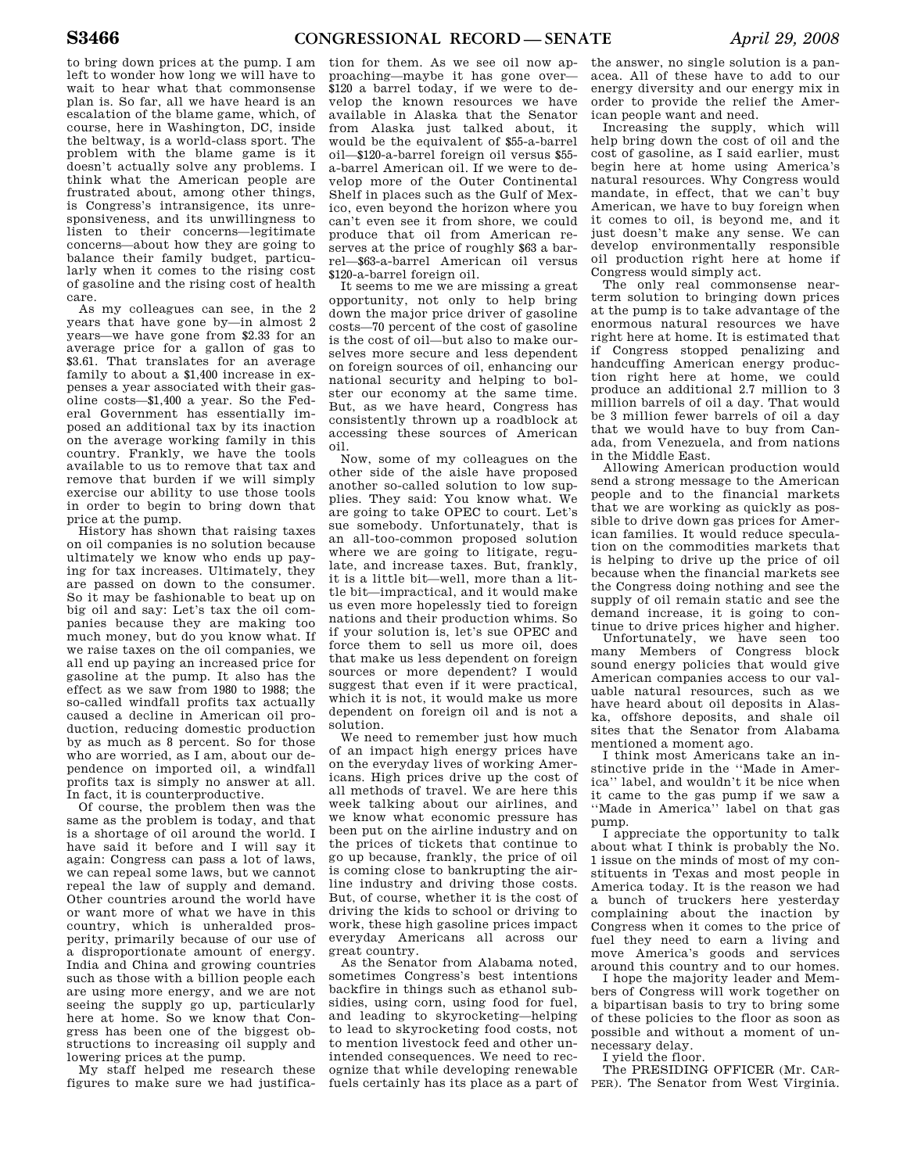to bring down prices at the pump. I am left to wonder how long we will have to wait to hear what that commonsense plan is. So far, all we have heard is an escalation of the blame game, which, of course, here in Washington, DC, inside the beltway, is a world-class sport. The problem with the blame game is it doesn't actually solve any problems. I think what the American people are frustrated about, among other things, is Congress's intransigence, its unresponsiveness, and its unwillingness to listen to their concerns—legitimate concerns—about how they are going to balance their family budget, particularly when it comes to the rising cost of gasoline and the rising cost of health care.

As my colleagues can see, in the 2 years that have gone by—in almost 2 years—we have gone from \$2.33 for an average price for a gallon of gas to \$3.61. That translates for an average family to about a \$1,400 increase in expenses a year associated with their gasoline costs—\$1,400 a year. So the Federal Government has essentially imposed an additional tax by its inaction on the average working family in this country. Frankly, we have the tools available to us to remove that tax and remove that burden if we will simply exercise our ability to use those tools in order to begin to bring down that price at the pump.

History has shown that raising taxes on oil companies is no solution because ultimately we know who ends up paying for tax increases. Ultimately, they are passed on down to the consumer. So it may be fashionable to beat up on big oil and say: Let's tax the oil companies because they are making too much money, but do you know what. If we raise taxes on the oil companies, we all end up paying an increased price for gasoline at the pump. It also has the effect as we saw from 1980 to 1988; the so-called windfall profits tax actually caused a decline in American oil production, reducing domestic production by as much as 8 percent. So for those who are worried, as I am, about our dependence on imported oil, a windfall profits tax is simply no answer at all. In fact, it is counterproductive.

Of course, the problem then was the same as the problem is today, and that is a shortage of oil around the world. I have said it before and I will say it again: Congress can pass a lot of laws, we can repeal some laws, but we cannot repeal the law of supply and demand. Other countries around the world have or want more of what we have in this country, which is unheralded prosperity, primarily because of our use of a disproportionate amount of energy. India and China and growing countries such as those with a billion people each are using more energy, and we are not seeing the supply go up, particularly here at home. So we know that Congress has been one of the biggest obstructions to increasing oil supply and lowering prices at the pump.

My staff helped me research these figures to make sure we had justifica-

tion for them. As we see oil now approaching—maybe it has gone over— \$120 a barrel today, if we were to develop the known resources we have available in Alaska that the Senator from Alaska just talked about, it would be the equivalent of \$55-a-barrel oil—\$120-a-barrel foreign oil versus \$55 a-barrel American oil. If we were to develop more of the Outer Continental Shelf in places such as the Gulf of Mexico, even beyond the horizon where you can't even see it from shore, we could produce that oil from American reserves at the price of roughly \$63 a barrel—\$63-a-barrel American oil versus \$120-a-barrel foreign oil.

It seems to me we are missing a great opportunity, not only to help bring down the major price driver of gasoline costs—70 percent of the cost of gasoline is the cost of oil—but also to make ourselves more secure and less dependent on foreign sources of oil, enhancing our national security and helping to bolster our economy at the same time. But, as we have heard, Congress has consistently thrown up a roadblock at accessing these sources of American oil.

Now, some of my colleagues on the other side of the aisle have proposed another so-called solution to low supplies. They said: You know what. We are going to take OPEC to court. Let's sue somebody. Unfortunately, that is an all-too-common proposed solution where we are going to litigate, regulate, and increase taxes. But, frankly, it is a little bit—well, more than a little bit—impractical, and it would make us even more hopelessly tied to foreign nations and their production whims. So if your solution is, let's sue OPEC and force them to sell us more oil, does that make us less dependent on foreign sources or more dependent? I would suggest that even if it were practical, which it is not, it would make us more dependent on foreign oil and is not a solution.

We need to remember just how much of an impact high energy prices have on the everyday lives of working Americans. High prices drive up the cost of all methods of travel. We are here this week talking about our airlines, and we know what economic pressure has been put on the airline industry and on the prices of tickets that continue to go up because, frankly, the price of oil is coming close to bankrupting the airline industry and driving those costs. But, of course, whether it is the cost of driving the kids to school or driving to work, these high gasoline prices impact everyday Americans all across our great country.

As the Senator from Alabama noted, sometimes Congress's best intentions backfire in things such as ethanol subsidies, using corn, using food for fuel, and leading to skyrocketing—helping to lead to skyrocketing food costs, not to mention livestock feed and other unintended consequences. We need to recognize that while developing renewable

the answer, no single solution is a panacea. All of these have to add to our energy diversity and our energy mix in order to provide the relief the American people want and need.

Increasing the supply, which will help bring down the cost of oil and the cost of gasoline, as I said earlier, must begin here at home using America's natural resources. Why Congress would mandate, in effect, that we can't buy American, we have to buy foreign when it comes to oil, is beyond me, and it just doesn't make any sense. We can develop environmentally responsible oil production right here at home if Congress would simply act.

The only real commonsense nearterm solution to bringing down prices at the pump is to take advantage of the enormous natural resources we have right here at home. It is estimated that if Congress stopped penalizing and handcuffing American energy production right here at home, we could produce an additional 2.7 million to 3 million barrels of oil a day. That would be 3 million fewer barrels of oil a day that we would have to buy from Canada, from Venezuela, and from nations in the Middle East.

Allowing American production would send a strong message to the American people and to the financial markets that we are working as quickly as possible to drive down gas prices for American families. It would reduce speculation on the commodities markets that is helping to drive up the price of oil because when the financial markets see the Congress doing nothing and see the supply of oil remain static and see the demand increase, it is going to continue to drive prices higher and higher.

Unfortunately, we have seen too many Members of Congress block sound energy policies that would give American companies access to our valuable natural resources, such as we have heard about oil deposits in Alaska, offshore deposits, and shale oil sites that the Senator from Alabama mentioned a moment ago.

I think most Americans take an instinctive pride in the ''Made in America'' label, and wouldn't it be nice when it came to the gas pump if we saw a ''Made in America'' label on that gas pump.

I appreciate the opportunity to talk about what I think is probably the No. 1 issue on the minds of most of my constituents in Texas and most people in America today. It is the reason we had a bunch of truckers here yesterday complaining about the inaction by Congress when it comes to the price of fuel they need to earn a living and move America's goods and services around this country and to our homes.

I hope the majority leader and Members of Congress will work together on a bipartisan basis to try to bring some of these policies to the floor as soon as possible and without a moment of unnecessary delay.

I yield the floor.

fuels certainly has its place as a part of PER). The Senator from West Virginia. The PRESIDING OFFICER (Mr. CAR-